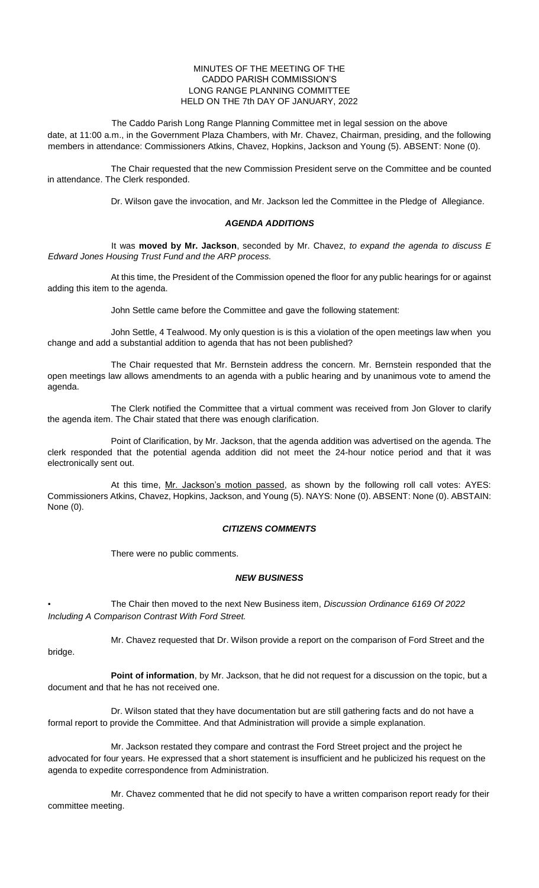## MINUTES OF THE MEETING OF THE CADDO PARISH COMMISSION'S LONG RANGE PLANNING COMMITTEE HELD ON THE 7th DAY OF JANUARY, 2022

The Caddo Parish Long Range Planning Committee met in legal session on the above date, at 11:00 a.m., in the Government Plaza Chambers, with Mr. Chavez, Chairman, presiding, and the following members in attendance: Commissioners Atkins, Chavez, Hopkins, Jackson and Young (5). ABSENT: None (0).

The Chair requested that the new Commission President serve on the Committee and be counted in attendance. The Clerk responded.

Dr. Wilson gave the invocation, and Mr. Jackson led the Committee in the Pledge of Allegiance.

## *AGENDA ADDITIONS*

It was **moved by Mr. Jackson**, seconded by Mr. Chavez, *to expand the agenda to discuss E Edward Jones Housing Trust Fund and the ARP process.*

At this time, the President of the Commission opened the floor for any public hearings for or against adding this item to the agenda.

John Settle came before the Committee and gave the following statement:

John Settle, 4 Tealwood. My only question is is this a violation of the open meetings law when you change and add a substantial addition to agenda that has not been published?

The Chair requested that Mr. Bernstein address the concern. Mr. Bernstein responded that the open meetings law allows amendments to an agenda with a public hearing and by unanimous vote to amend the agenda.

The Clerk notified the Committee that a virtual comment was received from Jon Glover to clarify the agenda item. The Chair stated that there was enough clarification.

Point of Clarification, by Mr. Jackson, that the agenda addition was advertised on the agenda. The clerk responded that the potential agenda addition did not meet the 24-hour notice period and that it was electronically sent out.

At this time, Mr. Jackson's motion passed, as shown by the following roll call votes: AYES: Commissioners Atkins, Chavez, Hopkins, Jackson, and Young (5). NAYS: None (0). ABSENT: None (0). ABSTAIN: None (0).

## *CITIZENS COMMENTS*

There were no public comments.

bridge.

## *NEW BUSINESS*

• The Chair then moved to the next New Business item, *Discussion Ordinance 6169 Of 2022 Including A Comparison Contrast With Ford Street.*

Mr. Chavez requested that Dr. Wilson provide a report on the comparison of Ford Street and the

**Point of information**, by Mr. Jackson, that he did not request for a discussion on the topic, but a document and that he has not received one.

Dr. Wilson stated that they have documentation but are still gathering facts and do not have a formal report to provide the Committee. And that Administration will provide a simple explanation.

Mr. Jackson restated they compare and contrast the Ford Street project and the project he advocated for four years. He expressed that a short statement is insufficient and he publicized his request on the agenda to expedite correspondence from Administration.

Mr. Chavez commented that he did not specify to have a written comparison report ready for their committee meeting.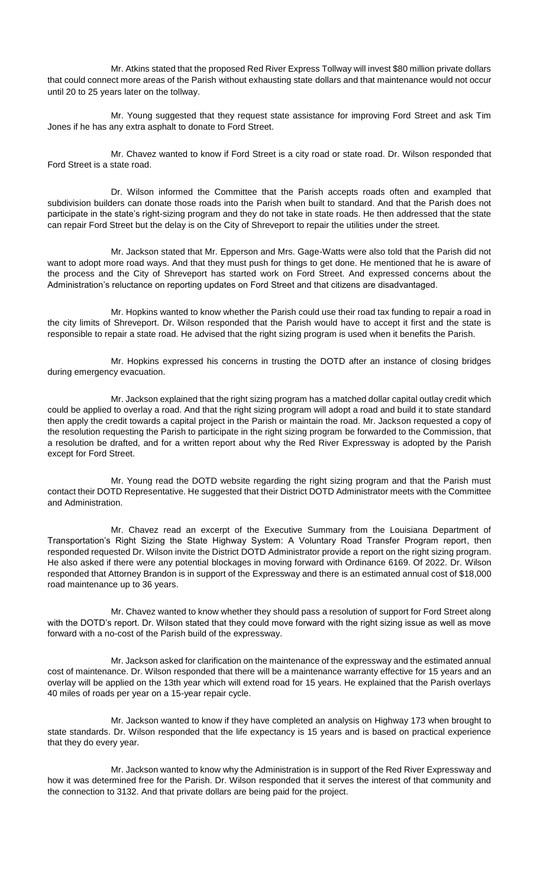Mr. Atkins stated that the proposed Red River Express Tollway will invest \$80 million private dollars that could connect more areas of the Parish without exhausting state dollars and that maintenance would not occur until 20 to 25 years later on the tollway.

Mr. Young suggested that they request state assistance for improving Ford Street and ask Tim Jones if he has any extra asphalt to donate to Ford Street.

Mr. Chavez wanted to know if Ford Street is a city road or state road. Dr. Wilson responded that Ford Street is a state road.

Dr. Wilson informed the Committee that the Parish accepts roads often and exampled that subdivision builders can donate those roads into the Parish when built to standard. And that the Parish does not participate in the state's right-sizing program and they do not take in state roads. He then addressed that the state can repair Ford Street but the delay is on the City of Shreveport to repair the utilities under the street.

Mr. Jackson stated that Mr. Epperson and Mrs. Gage-Watts were also told that the Parish did not want to adopt more road ways. And that they must push for things to get done. He mentioned that he is aware of the process and the City of Shreveport has started work on Ford Street. And expressed concerns about the Administration's reluctance on reporting updates on Ford Street and that citizens are disadvantaged.

Mr. Hopkins wanted to know whether the Parish could use their road tax funding to repair a road in the city limits of Shreveport. Dr. Wilson responded that the Parish would have to accept it first and the state is responsible to repair a state road. He advised that the right sizing program is used when it benefits the Parish.

Mr. Hopkins expressed his concerns in trusting the DOTD after an instance of closing bridges during emergency evacuation.

Mr. Jackson explained that the right sizing program has a matched dollar capital outlay credit which could be applied to overlay a road. And that the right sizing program will adopt a road and build it to state standard then apply the credit towards a capital project in the Parish or maintain the road. Mr. Jackson requested a copy of the resolution requesting the Parish to participate in the right sizing program be forwarded to the Commission, that a resolution be drafted, and for a written report about why the Red River Expressway is adopted by the Parish except for Ford Street.

Mr. Young read the DOTD website regarding the right sizing program and that the Parish must contact their DOTD Representative. He suggested that their District DOTD Administrator meets with the Committee and Administration.

Mr. Chavez read an excerpt of the Executive Summary from the Louisiana Department of Transportation's Right Sizing the State Highway System: A Voluntary Road Transfer Program report, then responded requested Dr. Wilson invite the District DOTD Administrator provide a report on the right sizing program. He also asked if there were any potential blockages in moving forward with Ordinance 6169. Of 2022. Dr. Wilson responded that Attorney Brandon is in support of the Expressway and there is an estimated annual cost of \$18,000 road maintenance up to 36 years.

Mr. Chavez wanted to know whether they should pass a resolution of support for Ford Street along with the DOTD's report. Dr. Wilson stated that they could move forward with the right sizing issue as well as move forward with a no-cost of the Parish build of the expressway.

Mr. Jackson asked for clarification on the maintenance of the expressway and the estimated annual cost of maintenance. Dr. Wilson responded that there will be a maintenance warranty effective for 15 years and an overlay will be applied on the 13th year which will extend road for 15 years. He explained that the Parish overlays 40 miles of roads per year on a 15-year repair cycle.

Mr. Jackson wanted to know if they have completed an analysis on Highway 173 when brought to state standards. Dr. Wilson responded that the life expectancy is 15 years and is based on practical experience that they do every year.

Mr. Jackson wanted to know why the Administration is in support of the Red River Expressway and how it was determined free for the Parish. Dr. Wilson responded that it serves the interest of that community and the connection to 3132. And that private dollars are being paid for the project.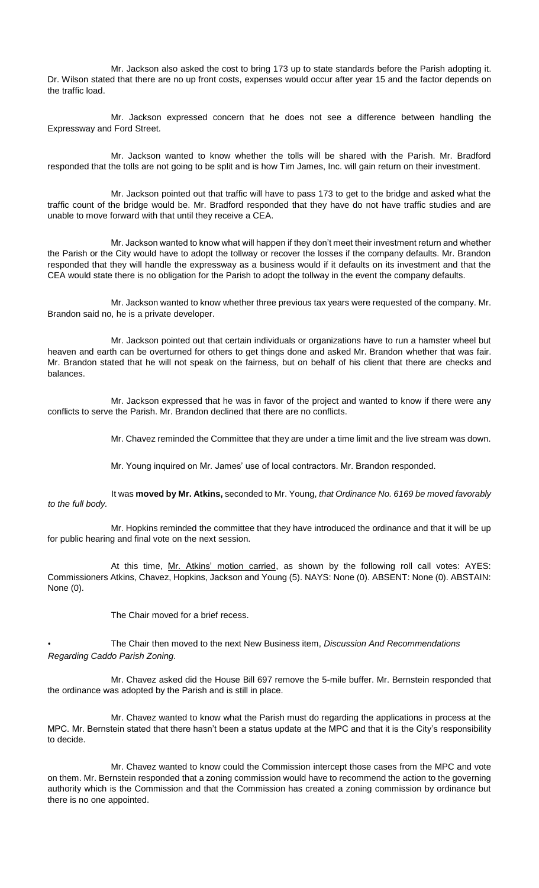Mr. Jackson also asked the cost to bring 173 up to state standards before the Parish adopting it. Dr. Wilson stated that there are no up front costs, expenses would occur after year 15 and the factor depends on the traffic load.

Mr. Jackson expressed concern that he does not see a difference between handling the Expressway and Ford Street.

Mr. Jackson wanted to know whether the tolls will be shared with the Parish. Mr. Bradford responded that the tolls are not going to be split and is how Tim James, Inc. will gain return on their investment.

Mr. Jackson pointed out that traffic will have to pass 173 to get to the bridge and asked what the traffic count of the bridge would be. Mr. Bradford responded that they have do not have traffic studies and are unable to move forward with that until they receive a CEA.

Mr. Jackson wanted to know what will happen if they don't meet their investment return and whether the Parish or the City would have to adopt the tollway or recover the losses if the company defaults. Mr. Brandon responded that they will handle the expressway as a business would if it defaults on its investment and that the CEA would state there is no obligation for the Parish to adopt the tollway in the event the company defaults.

Mr. Jackson wanted to know whether three previous tax years were requested of the company. Mr. Brandon said no, he is a private developer.

Mr. Jackson pointed out that certain individuals or organizations have to run a hamster wheel but heaven and earth can be overturned for others to get things done and asked Mr. Brandon whether that was fair. Mr. Brandon stated that he will not speak on the fairness, but on behalf of his client that there are checks and balances.

Mr. Jackson expressed that he was in favor of the project and wanted to know if there were any conflicts to serve the Parish. Mr. Brandon declined that there are no conflicts.

Mr. Chavez reminded the Committee that they are under a time limit and the live stream was down.

Mr. Young inquired on Mr. James' use of local contractors. Mr. Brandon responded.

It was **moved by Mr. Atkins,** seconded to Mr. Young, *that Ordinance No. 6169 be moved favorably to the full body.* 

Mr. Hopkins reminded the committee that they have introduced the ordinance and that it will be up for public hearing and final vote on the next session.

At this time, Mr. Atkins' motion carried, as shown by the following roll call votes: AYES: Commissioners Atkins, Chavez, Hopkins, Jackson and Young (5). NAYS: None (0). ABSENT: None (0). ABSTAIN: None (0).

The Chair moved for a brief recess.

• The Chair then moved to the next New Business item, *Discussion And Recommendations Regarding Caddo Parish Zoning.*

Mr. Chavez asked did the House Bill 697 remove the 5-mile buffer. Mr. Bernstein responded that the ordinance was adopted by the Parish and is still in place.

Mr. Chavez wanted to know what the Parish must do regarding the applications in process at the MPC. Mr. Bernstein stated that there hasn't been a status update at the MPC and that it is the City's responsibility to decide.

Mr. Chavez wanted to know could the Commission intercept those cases from the MPC and vote on them. Mr. Bernstein responded that a zoning commission would have to recommend the action to the governing authority which is the Commission and that the Commission has created a zoning commission by ordinance but there is no one appointed.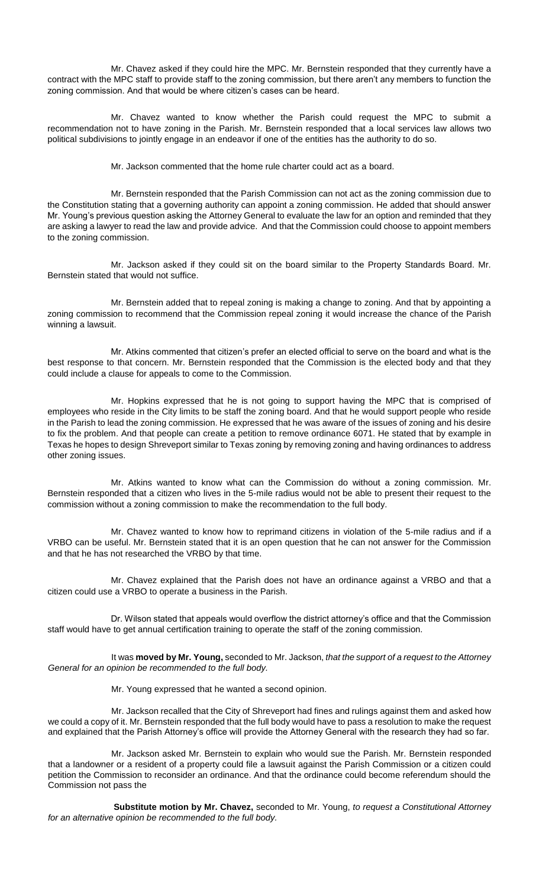Mr. Chavez asked if they could hire the MPC. Mr. Bernstein responded that they currently have a contract with the MPC staff to provide staff to the zoning commission, but there aren't any members to function the zoning commission. And that would be where citizen's cases can be heard.

Mr. Chavez wanted to know whether the Parish could request the MPC to submit a recommendation not to have zoning in the Parish. Mr. Bernstein responded that a local services law allows two political subdivisions to jointly engage in an endeavor if one of the entities has the authority to do so.

Mr. Jackson commented that the home rule charter could act as a board.

Mr. Bernstein responded that the Parish Commission can not act as the zoning commission due to the Constitution stating that a governing authority can appoint a zoning commission. He added that should answer Mr. Young's previous question asking the Attorney General to evaluate the law for an option and reminded that they are asking a lawyer to read the law and provide advice. And that the Commission could choose to appoint members to the zoning commission.

Mr. Jackson asked if they could sit on the board similar to the Property Standards Board. Mr. Bernstein stated that would not suffice.

Mr. Bernstein added that to repeal zoning is making a change to zoning. And that by appointing a zoning commission to recommend that the Commission repeal zoning it would increase the chance of the Parish winning a lawsuit.

Mr. Atkins commented that citizen's prefer an elected official to serve on the board and what is the best response to that concern. Mr. Bernstein responded that the Commission is the elected body and that they could include a clause for appeals to come to the Commission.

Mr. Hopkins expressed that he is not going to support having the MPC that is comprised of employees who reside in the City limits to be staff the zoning board. And that he would support people who reside in the Parish to lead the zoning commission. He expressed that he was aware of the issues of zoning and his desire to fix the problem. And that people can create a petition to remove ordinance 6071. He stated that by example in Texas he hopes to design Shreveport similar to Texas zoning by removing zoning and having ordinances to address other zoning issues.

Mr. Atkins wanted to know what can the Commission do without a zoning commission. Mr. Bernstein responded that a citizen who lives in the 5-mile radius would not be able to present their request to the commission without a zoning commission to make the recommendation to the full body.

Mr. Chavez wanted to know how to reprimand citizens in violation of the 5-mile radius and if a VRBO can be useful. Mr. Bernstein stated that it is an open question that he can not answer for the Commission and that he has not researched the VRBO by that time.

Mr. Chavez explained that the Parish does not have an ordinance against a VRBO and that a citizen could use a VRBO to operate a business in the Parish.

Dr. Wilson stated that appeals would overflow the district attorney's office and that the Commission staff would have to get annual certification training to operate the staff of the zoning commission.

It was **moved by Mr. Young,** seconded to Mr. Jackson, *that the support of a request to the Attorney General for an opinion be recommended to the full body.*

Mr. Young expressed that he wanted a second opinion.

Mr. Jackson recalled that the City of Shreveport had fines and rulings against them and asked how we could a copy of it. Mr. Bernstein responded that the full body would have to pass a resolution to make the request and explained that the Parish Attorney's office will provide the Attorney General with the research they had so far.

Mr. Jackson asked Mr. Bernstein to explain who would sue the Parish. Mr. Bernstein responded that a landowner or a resident of a property could file a lawsuit against the Parish Commission or a citizen could petition the Commission to reconsider an ordinance. And that the ordinance could become referendum should the Commission not pass the

**Substitute motion by Mr. Chavez,** seconded to Mr. Young, *to request a Constitutional Attorney for an alternative opinion be recommended to the full body.*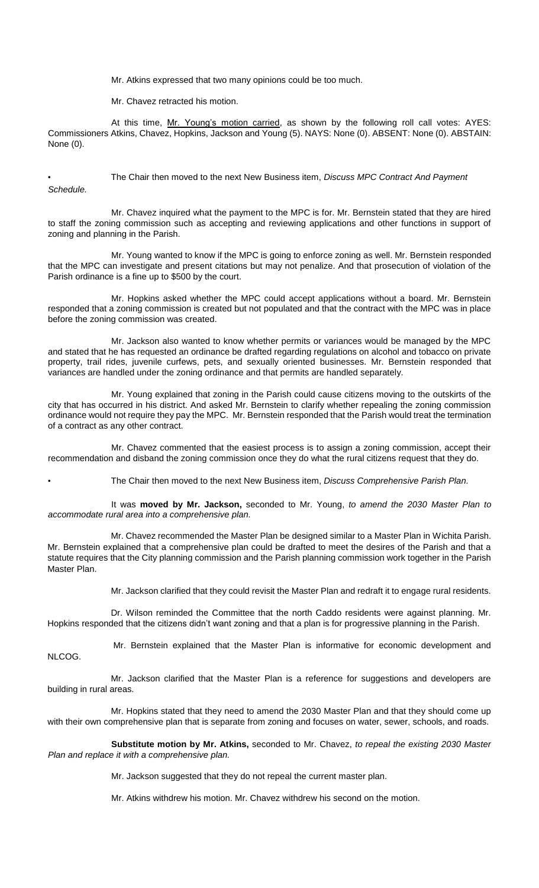Mr. Atkins expressed that two many opinions could be too much.

Mr. Chavez retracted his motion.

At this time, Mr. Young's motion carried, as shown by the following roll call votes: AYES: Commissioners Atkins, Chavez, Hopkins, Jackson and Young (5). NAYS: None (0). ABSENT: None (0). ABSTAIN: None (0).

• The Chair then moved to the next New Business item, *Discuss MPC Contract And Payment Schedule.*

Mr. Chavez inquired what the payment to the MPC is for. Mr. Bernstein stated that they are hired to staff the zoning commission such as accepting and reviewing applications and other functions in support of zoning and planning in the Parish.

Mr. Young wanted to know if the MPC is going to enforce zoning as well. Mr. Bernstein responded that the MPC can investigate and present citations but may not penalize. And that prosecution of violation of the Parish ordinance is a fine up to \$500 by the court.

Mr. Hopkins asked whether the MPC could accept applications without a board. Mr. Bernstein responded that a zoning commission is created but not populated and that the contract with the MPC was in place before the zoning commission was created.

Mr. Jackson also wanted to know whether permits or variances would be managed by the MPC and stated that he has requested an ordinance be drafted regarding regulations on alcohol and tobacco on private property, trail rides, juvenile curfews, pets, and sexually oriented businesses. Mr. Bernstein responded that variances are handled under the zoning ordinance and that permits are handled separately.

Mr. Young explained that zoning in the Parish could cause citizens moving to the outskirts of the city that has occurred in his district. And asked Mr. Bernstein to clarify whether repealing the zoning commission ordinance would not require they pay the MPC. Mr. Bernstein responded that the Parish would treat the termination of a contract as any other contract.

Mr. Chavez commented that the easiest process is to assign a zoning commission, accept their recommendation and disband the zoning commission once they do what the rural citizens request that they do.

• The Chair then moved to the next New Business item, *Discuss Comprehensive Parish Plan.*

It was **moved by Mr. Jackson,** seconded to Mr. Young, *to amend the 2030 Master Plan to accommodate rural area into a comprehensive plan.*

Mr. Chavez recommended the Master Plan be designed similar to a Master Plan in Wichita Parish. Mr. Bernstein explained that a comprehensive plan could be drafted to meet the desires of the Parish and that a statute requires that the City planning commission and the Parish planning commission work together in the Parish Master Plan.

Mr. Jackson clarified that they could revisit the Master Plan and redraft it to engage rural residents.

Dr. Wilson reminded the Committee that the north Caddo residents were against planning. Mr. Hopkins responded that the citizens didn't want zoning and that a plan is for progressive planning in the Parish.

Mr. Bernstein explained that the Master Plan is informative for economic development and NLCOG.

Mr. Jackson clarified that the Master Plan is a reference for suggestions and developers are building in rural areas.

Mr. Hopkins stated that they need to amend the 2030 Master Plan and that they should come up with their own comprehensive plan that is separate from zoning and focuses on water, sewer, schools, and roads.

**Substitute motion by Mr. Atkins,** seconded to Mr. Chavez, *to repeal the existing 2030 Master Plan and replace it with a comprehensive plan.* 

Mr. Jackson suggested that they do not repeal the current master plan.

Mr. Atkins withdrew his motion. Mr. Chavez withdrew his second on the motion.